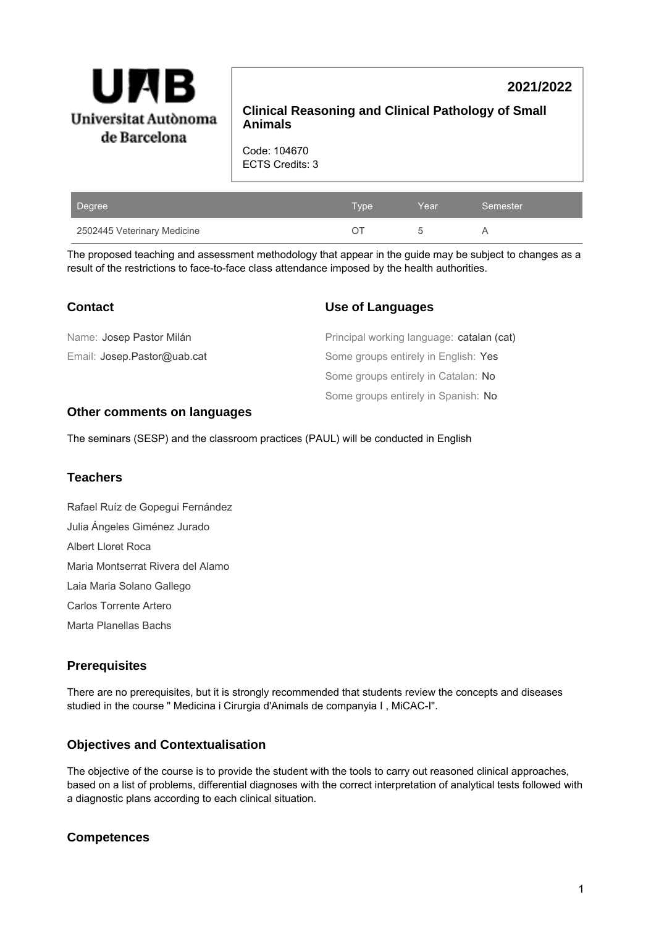

# **2021/2022**

**Clinical Reasoning and Clinical Pathology of Small Animals**

Code: 104670 ECTS Credits: 3

| Degree                      | Type | Year | Semester |
|-----------------------------|------|------|----------|
| 2502445 Veterinary Medicine |      |      |          |

The proposed teaching and assessment methodology that appear in the guide may be subject to changes as a result of the restrictions to face-to-face class attendance imposed by the health authorities.

| <b>Contact</b>              | <b>Use of Languages</b>                   |
|-----------------------------|-------------------------------------------|
| Name: Josep Pastor Milán    | Principal working language: catalan (cat) |
| Email: Josep.Pastor@uab.cat | Some groups entirely in English: Yes      |
|                             | Some groups entirely in Catalan: No       |
|                             | Some groups entirely in Spanish: No       |

#### **Other comments on languages**

The seminars (SESP) and the classroom practices (PAUL) will be conducted in English

### **Teachers**

Rafael Ruíz de Gopegui Fernández Julia Ángeles Giménez Jurado Albert Lloret Roca Maria Montserrat Rivera del Alamo Laia Maria Solano Gallego Carlos Torrente Artero Marta Planellas Bachs

### **Prerequisites**

There are no prerequisites, but it is strongly recommended that students review the concepts and diseases studied in the course " Medicina i Cirurgia d'Animals de companyia I , MiCAC-I".

### **Objectives and Contextualisation**

The objective of the course is to provide the student with the tools to carry out reasoned clinical approaches, based on a list of problems, differential diagnoses with the correct interpretation of analytical tests followed with a diagnostic plans according to each clinical situation.

### **Competences**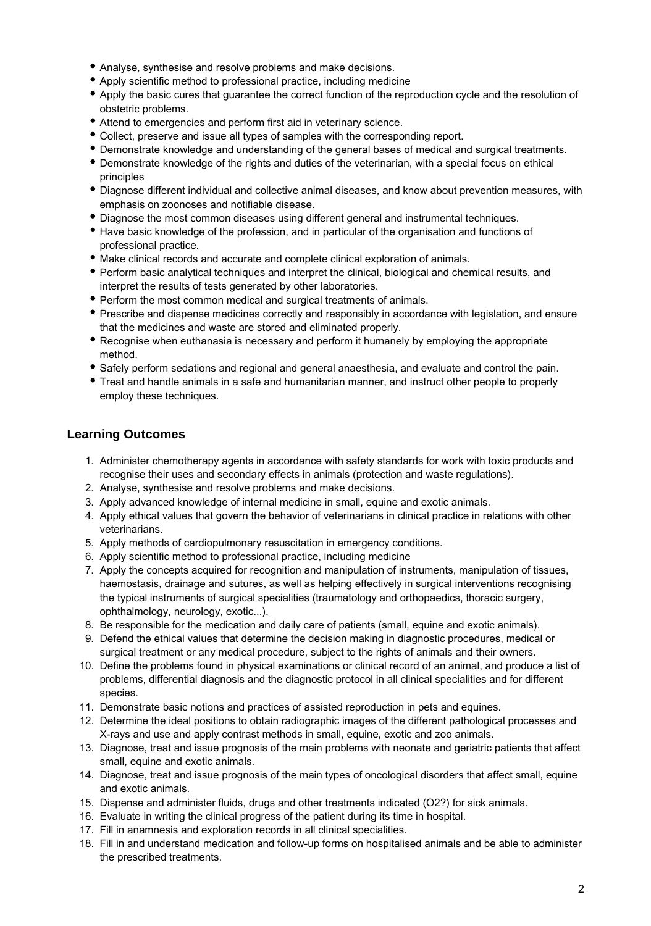- Analyse, synthesise and resolve problems and make decisions.
- Apply scientific method to professional practice, including medicine
- Apply the basic cures that guarantee the correct function of the reproduction cycle and the resolution of obstetric problems.
- Attend to emergencies and perform first aid in veterinary science.
- Collect, preserve and issue all types of samples with the corresponding report.
- Demonstrate knowledge and understanding of the general bases of medical and surgical treatments.
- Demonstrate knowledge of the rights and duties of the veterinarian, with a special focus on ethical principles
- Diagnose different individual and collective animal diseases, and know about prevention measures, with emphasis on zoonoses and notifiable disease.
- Diagnose the most common diseases using different general and instrumental techniques.
- Have basic knowledge of the profession, and in particular of the organisation and functions of professional practice.
- Make clinical records and accurate and complete clinical exploration of animals.
- Perform basic analytical techniques and interpret the clinical, biological and chemical results, and interpret the results of tests generated by other laboratories.
- Perform the most common medical and surgical treatments of animals.
- Prescribe and dispense medicines correctly and responsibly in accordance with legislation, and ensure that the medicines and waste are stored and eliminated properly.
- Recognise when euthanasia is necessary and perform it humanely by employing the appropriate method.
- Safely perform sedations and regional and general anaesthesia, and evaluate and control the pain.
- Treat and handle animals in a safe and humanitarian manner, and instruct other people to properly employ these techniques.

### **Learning Outcomes**

- 1. Administer chemotherapy agents in accordance with safety standards for work with toxic products and recognise their uses and secondary effects in animals (protection and waste regulations).
- 2. Analyse, synthesise and resolve problems and make decisions.
- 3. Apply advanced knowledge of internal medicine in small, equine and exotic animals.
- 4. Apply ethical values that govern the behavior of veterinarians in clinical practice in relations with other veterinarians.
- 5. Apply methods of cardiopulmonary resuscitation in emergency conditions.
- 6. Apply scientific method to professional practice, including medicine
- 7. Apply the concepts acquired for recognition and manipulation of instruments, manipulation of tissues, haemostasis, drainage and sutures, as well as helping effectively in surgical interventions recognising the typical instruments of surgical specialities (traumatology and orthopaedics, thoracic surgery, ophthalmology, neurology, exotic...).
- 8. Be responsible for the medication and daily care of patients (small, equine and exotic animals).
- 9. Defend the ethical values that determine the decision making in diagnostic procedures, medical or surgical treatment or any medical procedure, subject to the rights of animals and their owners.
- 10. Define the problems found in physical examinations or clinical record of an animal, and produce a list of problems, differential diagnosis and the diagnostic protocol in all clinical specialities and for different species.
- 11. Demonstrate basic notions and practices of assisted reproduction in pets and equines.
- 12. Determine the ideal positions to obtain radiographic images of the different pathological processes and X-rays and use and apply contrast methods in small, equine, exotic and zoo animals.
- 13. Diagnose, treat and issue prognosis of the main problems with neonate and geriatric patients that affect small, equine and exotic animals.
- 14. Diagnose, treat and issue prognosis of the main types of oncological disorders that affect small, equine and exotic animals.
- 15. Dispense and administer fluids, drugs and other treatments indicated (O2?) for sick animals.
- 16. Evaluate in writing the clinical progress of the patient during its time in hospital.
- 17. Fill in anamnesis and exploration records in all clinical specialities.
- 18. Fill in and understand medication and follow-up forms on hospitalised animals and be able to administer the prescribed treatments.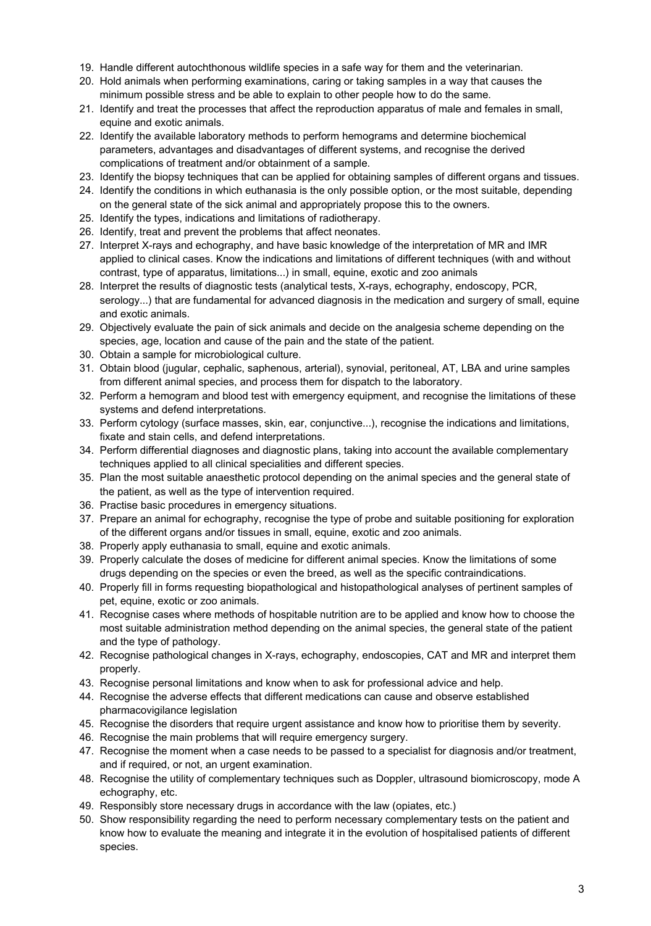- 19. Handle different autochthonous wildlife species in a safe way for them and the veterinarian.
- 20. Hold animals when performing examinations, caring or taking samples in a way that causes the minimum possible stress and be able to explain to other people how to do the same.
- 21. Identify and treat the processes that affect the reproduction apparatus of male and females in small, equine and exotic animals.
- 22. Identify the available laboratory methods to perform hemograms and determine biochemical parameters, advantages and disadvantages of different systems, and recognise the derived complications of treatment and/or obtainment of a sample.
- 23. Identify the biopsy techniques that can be applied for obtaining samples of different organs and tissues.
- 24. Identify the conditions in which euthanasia is the only possible option, or the most suitable, depending on the general state of the sick animal and appropriately propose this to the owners.
- 25. Identify the types, indications and limitations of radiotherapy.
- 26. Identify, treat and prevent the problems that affect neonates.
- 27. Interpret X-rays and echography, and have basic knowledge of the interpretation of MR and IMR applied to clinical cases. Know the indications and limitations of different techniques (with and without contrast, type of apparatus, limitations...) in small, equine, exotic and zoo animals
- 28. Interpret the results of diagnostic tests (analytical tests, X-rays, echography, endoscopy, PCR, serology...) that are fundamental for advanced diagnosis in the medication and surgery of small, equine and exotic animals.
- 29. Objectively evaluate the pain of sick animals and decide on the analgesia scheme depending on the species, age, location and cause of the pain and the state of the patient.
- 30. Obtain a sample for microbiological culture.
- 31. Obtain blood (jugular, cephalic, saphenous, arterial), synovial, peritoneal, AT, LBA and urine samples from different animal species, and process them for dispatch to the laboratory.
- 32. Perform a hemogram and blood test with emergency equipment, and recognise the limitations of these systems and defend interpretations.
- 33. Perform cytology (surface masses, skin, ear, conjunctive...), recognise the indications and limitations, fixate and stain cells, and defend interpretations.
- 34. Perform differential diagnoses and diagnostic plans, taking into account the available complementary techniques applied to all clinical specialities and different species.
- 35. Plan the most suitable anaesthetic protocol depending on the animal species and the general state of the patient, as well as the type of intervention required.
- 36. Practise basic procedures in emergency situations.
- 37. Prepare an animal for echography, recognise the type of probe and suitable positioning for exploration of the different organs and/or tissues in small, equine, exotic and zoo animals.
- 38. Properly apply euthanasia to small, equine and exotic animals.
- 39. Properly calculate the doses of medicine for different animal species. Know the limitations of some drugs depending on the species or even the breed, as well as the specific contraindications.
- 40. Properly fill in forms requesting biopathological and histopathological analyses of pertinent samples of pet, equine, exotic or zoo animals.
- 41. Recognise cases where methods of hospitable nutrition are to be applied and know how to choose the most suitable administration method depending on the animal species, the general state of the patient and the type of pathology.
- 42. Recognise pathological changes in X-rays, echography, endoscopies, CAT and MR and interpret them properly.
- 43. Recognise personal limitations and know when to ask for professional advice and help.
- 44. Recognise the adverse effects that different medications can cause and observe established pharmacovigilance legislation
- 45. Recognise the disorders that require urgent assistance and know how to prioritise them by severity.
- 46. Recognise the main problems that will require emergency surgery.
- 47. Recognise the moment when a case needs to be passed to a specialist for diagnosis and/or treatment, and if required, or not, an urgent examination.
- 48. Recognise the utility of complementary techniques such as Doppler, ultrasound biomicroscopy, mode A echography, etc.
- 49. Responsibly store necessary drugs in accordance with the law (opiates, etc.)
- 50. Show responsibility regarding the need to perform necessary complementary tests on the patient and know how to evaluate the meaning and integrate it in the evolution of hospitalised patients of different species.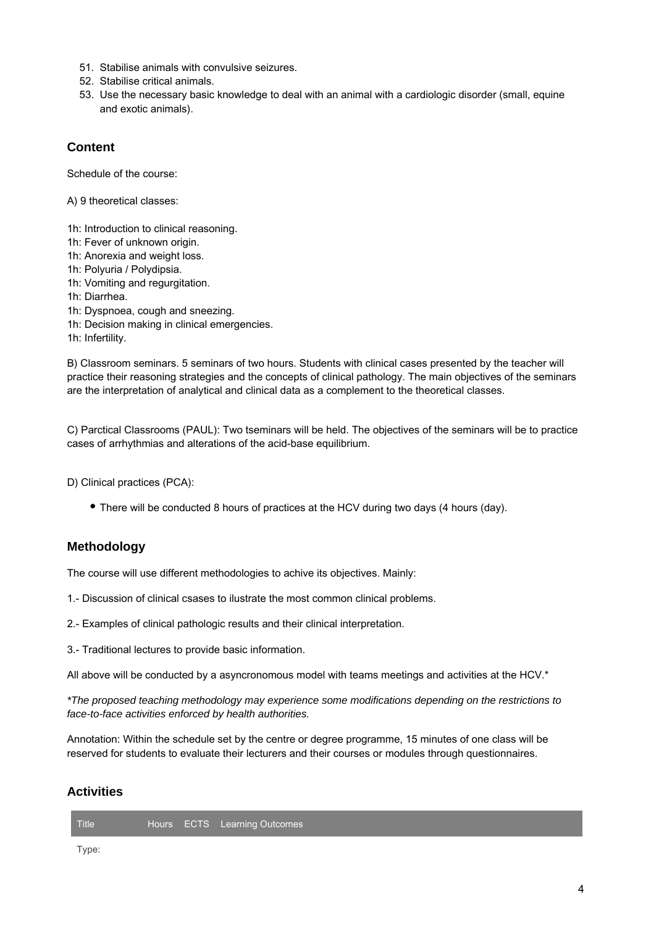- 51. Stabilise animals with convulsive seizures.
- 52. Stabilise critical animals.
- 53. Use the necessary basic knowledge to deal with an animal with a cardiologic disorder (small, equine and exotic animals).

### **Content**

Schedule of the course:

A) 9 theoretical classes:

- 1h: Introduction to clinical reasoning.
- 1h: Fever of unknown origin.
- 1h: Anorexia and weight loss.
- 1h: Polyuria / Polydipsia.
- 1h: Vomiting and regurgitation.
- 1h: Diarrhea.
- 1h: Dyspnoea, cough and sneezing.
- 1h: Decision making in clinical emergencies.
- 1h: Infertility.

B) Classroom seminars. 5 seminars of two hours. Students with clinical cases presented by the teacher will practice their reasoning strategies and the concepts of clinical pathology. The main objectives of the seminars are the interpretation of analytical and clinical data as a complement to the theoretical classes.

C) Parctical Classrooms (PAUL): Two tseminars will be held. The objectives of the seminars will be to practice cases of arrhythmias and alterations of the acid-base equilibrium.

D) Clinical practices (PCA):

There will be conducted 8 hours of practices at the HCV during two days (4 hours (day).

## **Methodology**

The course will use different methodologies to achive its objectives. Mainly:

- 1.- Discussion of clinical csases to ilustrate the most common clinical problems.
- 2.- Examples of clinical pathologic results and their clinical interpretation.
- 3.- Traditional lectures to provide basic information.

All above will be conducted by a asyncronomous model with teams meetings and activities at the HCV.\*

\*The proposed teaching methodology may experience some modifications depending on the restrictions to face-to-face activities enforced by health authorities.

Annotation: Within the schedule set by the centre or degree programme, 15 minutes of one class will be reserved for students to evaluate their lecturers and their courses or modules through questionnaires.

### **Activities**

| Title |  |  | Hours ECTS Learning Outcomes |  |  |
|-------|--|--|------------------------------|--|--|
|-------|--|--|------------------------------|--|--|

Type: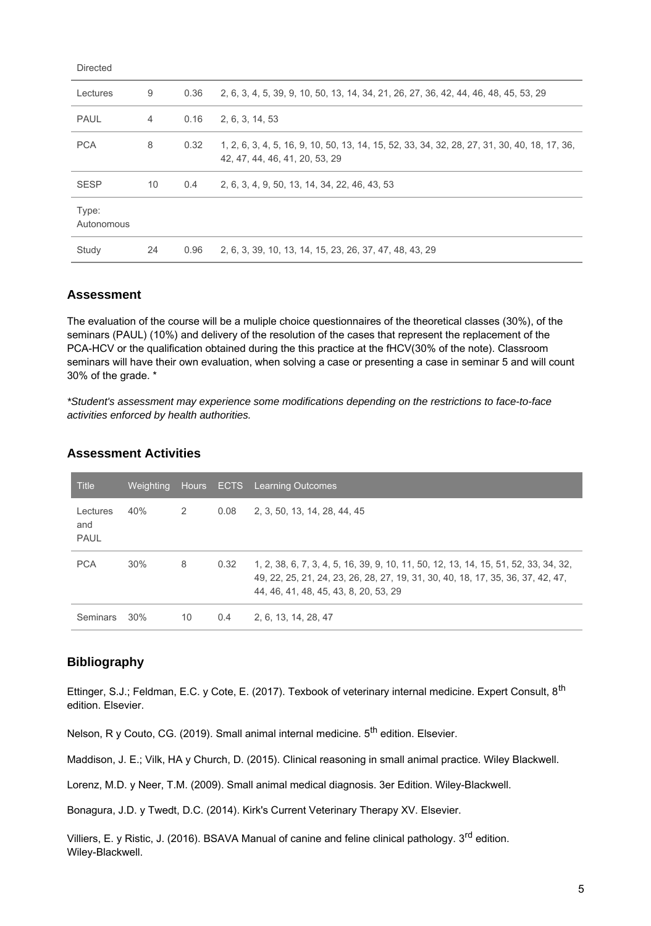| 9<br>2, 6, 3, 4, 5, 39, 9, 10, 50, 13, 14, 34, 21, 26, 27, 36, 42, 44, 46, 48, 45, 53, 29<br>0.36<br>Lectures<br><b>PAUL</b><br>0.16<br>2, 6, 3, 14, 53<br>4 |
|--------------------------------------------------------------------------------------------------------------------------------------------------------------|
|                                                                                                                                                              |
|                                                                                                                                                              |
| <b>PCA</b><br>8<br>0.32<br>1, 2, 6, 3, 4, 5, 16, 9, 10, 50, 13, 14, 15, 52, 33, 34, 32, 28, 27, 31, 30, 40, 18, 17, 36,<br>42, 47, 44, 46, 41, 20, 53, 29    |
| <b>SESP</b><br>10<br>$0.4^{\circ}$<br>2, 6, 3, 4, 9, 50, 13, 14, 34, 22, 46, 43, 53                                                                          |
| Type:<br>Autonomous                                                                                                                                          |
| 2, 6, 3, 39, 10, 13, 14, 15, 23, 26, 37, 47, 48, 43, 29<br>24<br>0.96<br>Study                                                                               |

### **Assessment**

Directed

The evaluation of the course will be a muliple choice questionnaires of the theoretical classes (30%), of the seminars (PAUL) (10%) and delivery of the resolution of the cases that represent the replacement of the PCA-HCV or the qualification obtained during the this practice at the fHCV(30% of the note). Classroom seminars will have their own evaluation, when solving a case or presenting a case in seminar 5 and will count 30% of the grade. \*

\*Student's assessment may experience some modifications depending on the restrictions to face-to-face activities enforced by health authorities.

| Title                          | Weighting |    |      | Hours ECTS Learning Outcomes                                                                                                                                                                                    |
|--------------------------------|-----------|----|------|-----------------------------------------------------------------------------------------------------------------------------------------------------------------------------------------------------------------|
| Lectures<br>and<br><b>PAUL</b> | 40%       | 2  | 0.08 | 2, 3, 50, 13, 14, 28, 44, 45                                                                                                                                                                                    |
| <b>PCA</b>                     | 30%       | 8  | 0.32 | 1, 2, 38, 6, 7, 3, 4, 5, 16, 39, 9, 10, 11, 50, 12, 13, 14, 15, 51, 52, 33, 34, 32,<br>49, 22, 25, 21, 24, 23, 26, 28, 27, 19, 31, 30, 40, 18, 17, 35, 36, 37, 42, 47,<br>44, 46, 41, 48, 45, 43, 8, 20, 53, 29 |
| <b>Seminars</b>                | 30%       | 10 | 0.4  | 2, 6, 13, 14, 28, 47                                                                                                                                                                                            |

#### **Assessment Activities**

### **Bibliography**

Ettinger, S.J.; Feldman, E.C. y Cote, E. (2017). Texbook of veterinary internal medicine. Expert Consult, 8th edition. Elsevier.

Nelson, R y Couto, CG. (2019). Small animal internal medicine. 5<sup>th</sup> edition. Elsevier.

Maddison, J. E.; Vilk, HA y Church, D. (2015). Clinical reasoning in small animal practice. Wiley Blackwell.

Lorenz, M.D. y Neer, T.M. (2009). Small animal medical diagnosis. 3er Edition. Wiley-Blackwell.

Bonagura, J.D. y Twedt, D.C. (2014). Kirk's Current Veterinary Therapy XV. Elsevier.

Villiers, E. y Ristic, J. (2016). BSAVA Manual of canine and feline clinical pathology. 3<sup>rd</sup> edition. Wiley-Blackwell.